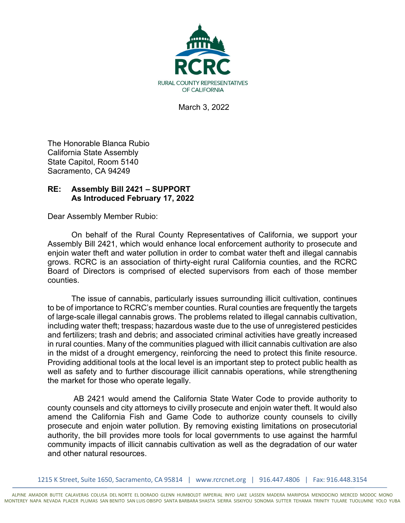

March 3, 2022

The Honorable Blanca Rubio California State Assembly State Capitol, Room 5140 Sacramento, CA 94249

## **RE: Assembly Bill 2421 – SUPPORT As Introduced February 17, 2022**

Dear Assembly Member Rubio:

On behalf of the Rural County Representatives of California, we support your Assembly Bill 2421, which would enhance local enforcement authority to prosecute and enjoin water theft and water pollution in order to combat water theft and illegal cannabis grows. RCRC is an association of thirty-eight rural California counties, and the RCRC Board of Directors is comprised of elected supervisors from each of those member counties.

The issue of cannabis, particularly issues surrounding illicit cultivation, continues to be of importance to RCRC's member counties. Rural counties are frequently the targets of large-scale illegal cannabis grows. The problems related to illegal cannabis cultivation, including water theft; trespass; hazardous waste due to the use of unregistered pesticides and fertilizers; trash and debris; and associated criminal activities have greatly increased in rural counties. Many of the communities plagued with illicit cannabis cultivation are also in the midst of a drought emergency, reinforcing the need to protect this finite resource. Providing additional tools at the local level is an important step to protect public health as well as safety and to further discourage illicit cannabis operations, while strengthening the market for those who operate legally.

AB 2421 would amend the California State Water Code to provide authority to county counsels and city attorneys to civilly prosecute and enjoin water theft. It would also amend the California Fish and Game Code to authorize county counsels to civilly prosecute and enjoin water pollution. By removing existing limitations on prosecutorial authority, the bill provides more tools for local governments to use against the harmful community impacts of illicit cannabis cultivation as well as the degradation of our water and other natural resources.

1215 K Street, Suite 1650, Sacramento, CA 95814 | www.rcrcnet.org | 916.447.4806 | Fax: 916.448.3154